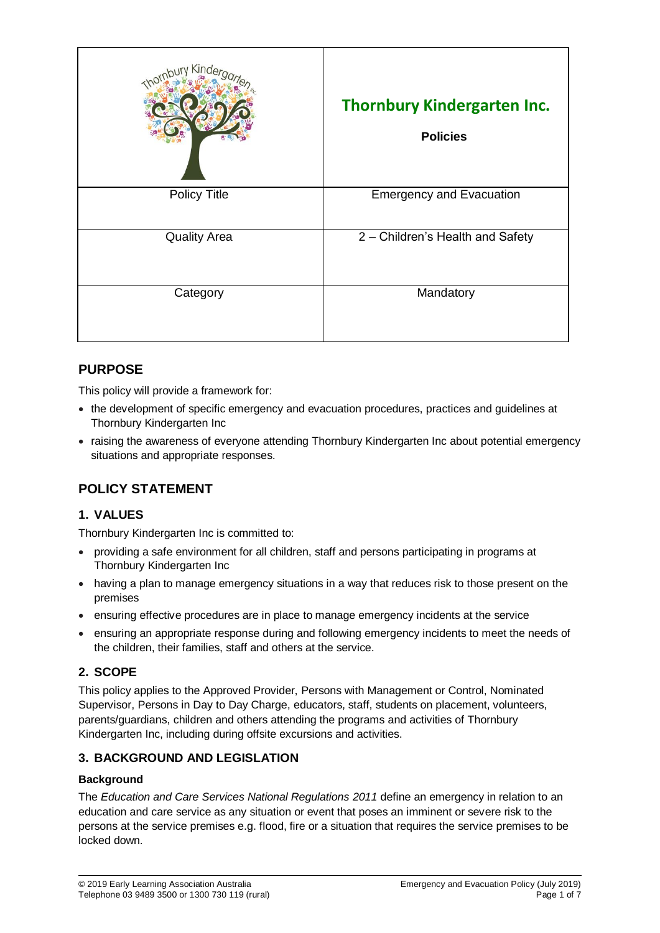| Kinde               | <b>Thornbury Kindergarten Inc.</b><br><b>Policies</b> |
|---------------------|-------------------------------------------------------|
| <b>Policy Title</b> | <b>Emergency and Evacuation</b>                       |
| <b>Quality Area</b> | 2 - Children's Health and Safety                      |
| Category            | Mandatory                                             |

# **PURPOSE**

This policy will provide a framework for:

- the development of specific emergency and evacuation procedures, practices and guidelines at Thornbury Kindergarten Inc
- raising the awareness of everyone attending Thornbury Kindergarten Inc about potential emergency situations and appropriate responses.

# **POLICY STATEMENT**

## **1. VALUES**

Thornbury Kindergarten Inc is committed to:

- providing a safe environment for all children, staff and persons participating in programs at Thornbury Kindergarten Inc
- having a plan to manage emergency situations in a way that reduces risk to those present on the premises
- ensuring effective procedures are in place to manage emergency incidents at the service
- ensuring an appropriate response during and following emergency incidents to meet the needs of the children, their families, staff and others at the service.

# **2. SCOPE**

This policy applies to the Approved Provider, Persons with Management or Control, Nominated Supervisor, Persons in Day to Day Charge, educators, staff, students on placement, volunteers, parents/guardians, children and others attending the programs and activities of Thornbury Kindergarten Inc, including during offsite excursions and activities.

# **3. BACKGROUND AND LEGISLATION**

## **Background**

The *Education and Care Services National Regulations 2011* define an emergency in relation to an education and care service as any situation or event that poses an imminent or severe risk to the persons at the service premises e.g. flood, fire or a situation that requires the service premises to be locked down.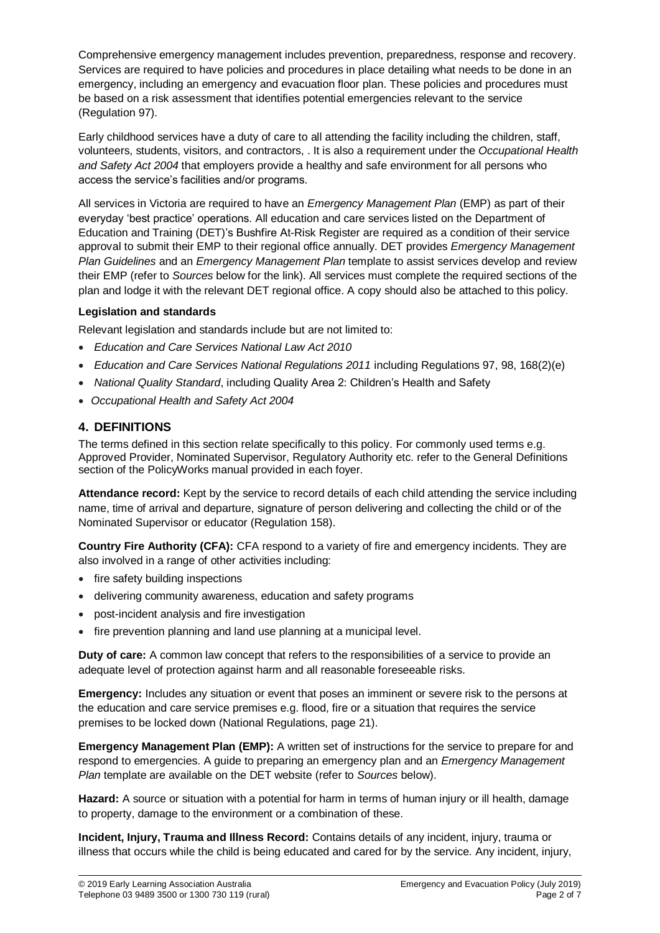Comprehensive emergency management includes prevention, preparedness, response and recovery. Services are required to have policies and procedures in place detailing what needs to be done in an emergency, including an emergency and evacuation floor plan. These policies and procedures must be based on a risk assessment that identifies potential emergencies relevant to the service (Regulation 97).

Early childhood services have a duty of care to all attending the facility including the children, staff, volunteers, students, visitors, and contractors, . It is also a requirement under the *Occupational Health and Safety Act 2004* that employers provide a healthy and safe environment for all persons who access the service's facilities and/or programs.

All services in Victoria are required to have an *Emergency Management Plan* (EMP) as part of their everyday 'best practice' operations. All education and care services listed on the Department of Education and Training (DET)'s Bushfire At-Risk Register are required as a condition of their service approval to submit their EMP to their regional office annually. DET provides *Emergency Management Plan Guidelines* and an *Emergency Management Plan* template to assist services develop and review their EMP (refer to *Sources* below for the link). All services must complete the required sections of the plan and lodge it with the relevant DET regional office. A copy should also be attached to this policy.

#### **Legislation and standards**

Relevant legislation and standards include but are not limited to:

- *Education and Care Services National Law Act 2010*
- *Education and Care Services National Regulations 2011* including Regulations 97, 98, 168(2)(e)
- *National Quality Standard*, including Quality Area 2: Children's Health and Safety
- *Occupational Health and Safety Act 2004*

## **4. DEFINITIONS**

The terms defined in this section relate specifically to this policy. For commonly used terms e.g. Approved Provider, Nominated Supervisor, Regulatory Authority etc. refer to the General Definitions section of the PolicyWorks manual provided in each foyer.

**Attendance record:** Kept by the service to record details of each child attending the service including name, time of arrival and departure, signature of person delivering and collecting the child or of the Nominated Supervisor or educator (Regulation 158).

**Country Fire Authority (CFA):** CFA respond to a variety of fire and emergency incidents. They are also involved in a range of other activities including:

- fire safety building inspections
- delivering community awareness, education and safety programs
- post-incident analysis and fire investigation
- fire prevention planning and land use planning at a municipal level.

**Duty of care:** A common law concept that refers to the responsibilities of a service to provide an adequate level of protection against harm and all reasonable foreseeable risks.

**Emergency:** Includes any situation or event that poses an imminent or severe risk to the persons at the education and care service premises e.g. flood, fire or a situation that requires the service premises to be locked down (National Regulations, page 21).

**Emergency Management Plan (EMP):** A written set of instructions for the service to prepare for and respond to emergencies. A guide to preparing an emergency plan and an *Emergency Management Plan* template are available on the DET website (refer to *Sources* below).

**Hazard:** A source or situation with a potential for harm in terms of human injury or ill health, damage to property, damage to the environment or a combination of these.

**Incident, Injury, Trauma and Illness Record:** Contains details of any incident, injury, trauma or illness that occurs while the child is being educated and cared for by the service. Any incident, injury,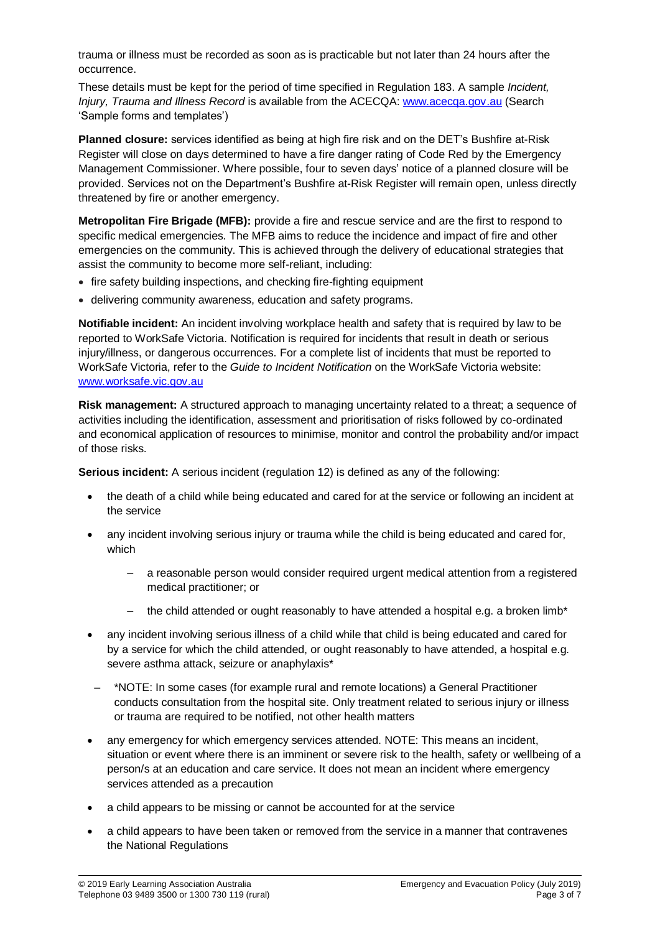trauma or illness must be recorded as soon as is practicable but not later than 24 hours after the occurrence.

These details must be kept for the period of time specified in Regulation 183. A sample *Incident, Injury, Trauma and Illness Record* is available from the ACECQA: [www.acecqa.gov.au](http://www.acecqa.gov.au/) (Search 'Sample forms and templates')

**Planned closure:** services identified as being at high fire risk and on the DET's Bushfire at-Risk Register will close on days determined to have a fire danger rating of Code Red by the Emergency Management Commissioner. Where possible, four to seven days' notice of a planned closure will be provided. Services not on the Department's Bushfire at-Risk Register will remain open, unless directly threatened by fire or another emergency.

**Metropolitan Fire Brigade (MFB):** provide a fire and rescue service and are the first to respond to specific medical emergencies. The MFB aims to reduce the incidence and impact of fire and other emergencies on the community. This is achieved through the delivery of educational strategies that assist the community to become more self-reliant, including:

- fire safety building inspections, and checking fire-fighting equipment
- delivering community awareness, education and safety programs.

**Notifiable incident:** An incident involving workplace health and safety that is required by law to be reported to WorkSafe Victoria. Notification is required for incidents that result in death or serious injury/illness, or dangerous occurrences. For a complete list of incidents that must be reported to WorkSafe Victoria, refer to the *Guide to Incident Notification* on the WorkSafe Victoria website: [www.worksafe.vic.gov.au](http://www.worksafe.vic.gov.au/)

**Risk management:** A structured approach to managing uncertainty related to a threat; a sequence of activities including the identification, assessment and prioritisation of risks followed by co-ordinated and economical application of resources to minimise, monitor and control the probability and/or impact of those risks.

**Serious incident:** A serious incident (regulation 12) is defined as any of the following:

- the death of a child while being educated and cared for at the service or following an incident at the service
- any incident involving serious injury or trauma while the child is being educated and cared for, which
	- a reasonable person would consider required urgent medical attention from a registered medical practitioner; or
	- the child attended or ought reasonably to have attended a hospital e.g. a broken limb\*
- any incident involving serious illness of a child while that child is being educated and cared for by a service for which the child attended, or ought reasonably to have attended, a hospital e.g. severe asthma attack, seizure or anaphylaxis\*
- \*NOTE: In some cases (for example rural and remote locations) a General Practitioner conducts consultation from the hospital site. Only treatment related to serious injury or illness or trauma are required to be notified, not other health matters
- any emergency for which emergency services attended. NOTE: This means an incident, situation or event where there is an imminent or severe risk to the health, safety or wellbeing of a person/s at an education and care service. It does not mean an incident where emergency services attended as a precaution
- a child appears to be missing or cannot be accounted for at the service
- a child appears to have been taken or removed from the service in a manner that contravenes the National Regulations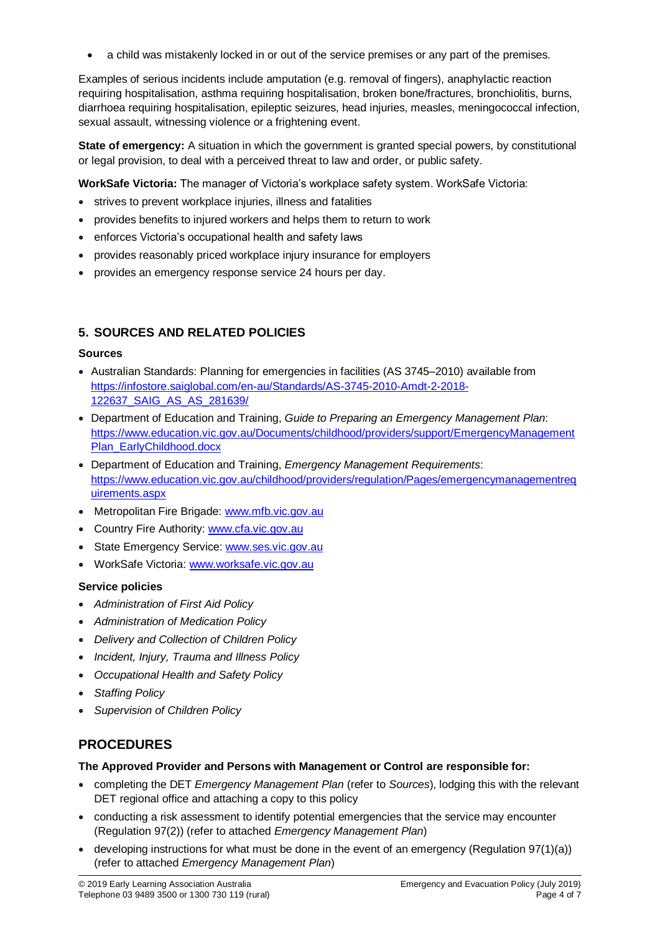a child was mistakenly locked in or out of the service premises or any part of the premises.

Examples of serious incidents include amputation (e.g. removal of fingers), anaphylactic reaction requiring hospitalisation, asthma requiring hospitalisation, broken bone/fractures, bronchiolitis, burns, diarrhoea requiring hospitalisation, epileptic seizures, head injuries, measles, meningococcal infection, sexual assault, witnessing violence or a frightening event.

**State of emergency:** A situation in which the government is granted special powers, by constitutional or legal provision, to deal with a perceived threat to law and order, or public safety.

**WorkSafe Victoria:** The manager of Victoria's workplace safety system. WorkSafe Victoria:

- strives to prevent workplace injuries, illness and fatalities
- provides benefits to injured workers and helps them to return to work
- enforces Victoria's occupational health and safety laws
- provides reasonably priced workplace injury insurance for employers
- provides an emergency response service 24 hours per day.

# **5. SOURCES AND RELATED POLICIES**

### **Sources**

- Australian Standards: Planning for emergencies in facilities (AS 3745–2010) available from [https://infostore.saiglobal.com/en-au/Standards/AS-3745-2010-Amdt-2-2018-](https://infostore.saiglobal.com/en-au/Standards/AS-3745-2010-Amdt-2-2018-122637_SAIG_AS_AS_281639/) [122637\\_SAIG\\_AS\\_AS\\_281639/](https://infostore.saiglobal.com/en-au/Standards/AS-3745-2010-Amdt-2-2018-122637_SAIG_AS_AS_281639/)
- Department of Education and Training, *Guide to Preparing an Emergency Management Plan*: [https://www.education.vic.gov.au/Documents/childhood/providers/support/EmergencyManagement](https://www.education.vic.gov.au/Documents/childhood/providers/support/EmergencyManagementPlan_EarlyChildhood.docx) [Plan\\_EarlyChildhood.docx](https://www.education.vic.gov.au/Documents/childhood/providers/support/EmergencyManagementPlan_EarlyChildhood.docx)
- Department of Education and Training, *Emergency Management Requirements*: [https://www.education.vic.gov.au/childhood/providers/regulation/Pages/emergencymanagementreq](https://www.education.vic.gov.au/childhood/providers/regulation/Pages/emergencymanagementrequirements.aspx) [uirements.aspx](https://www.education.vic.gov.au/childhood/providers/regulation/Pages/emergencymanagementrequirements.aspx)
- Metropolitan Fire Brigade: [www.mfb.vic.gov.au](http://www.mfb.vic.gov.au/)
- Country Fire Authority: [www.cfa.vic.gov.au](http://www.cfa.vic.gov.au/)
- State Emergency Service: [www.ses.vic.gov.au](http://www.ses.vic.gov.au/)
- WorkSafe Victoria: [www.worksafe.vic.gov.au](http://www.worksafe.vic.gov.au/)

## **Service policies**

- *Administration of First Aid Policy*
- *Administration of Medication Policy*
- *Delivery and Collection of Children Policy*
- *Incident, Injury, Trauma and Illness Policy*
- *Occupational Health and Safety Policy*
- *Staffing Policy*
- *Supervision of Children Policy*

# **PROCEDURES**

#### **The Approved Provider and Persons with Management or Control are responsible for:**

- completing the DET *Emergency Management Plan* (refer to *Sources*), lodging this with the relevant DET regional office and attaching a copy to this policy
- conducting a risk assessment to identify potential emergencies that the service may encounter (Regulation 97(2)) (refer to attached *Emergency Management Plan*)
- developing instructions for what must be done in the event of an emergency (Regulation  $97(1)(a)$ ) (refer to attached *Emergency Management Plan*)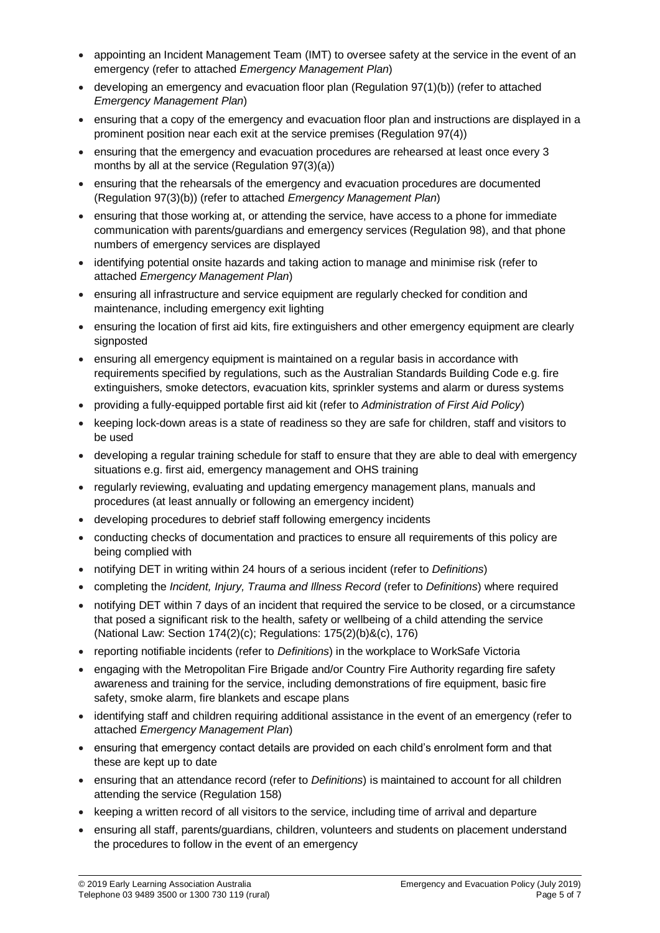- appointing an Incident Management Team (IMT) to oversee safety at the service in the event of an emergency (refer to attached *Emergency Management Plan*)
- $\bullet$  developing an emergency and evacuation floor plan (Regulation 97(1)(b)) (refer to attached *Emergency Management Plan*)
- ensuring that a copy of the emergency and evacuation floor plan and instructions are displayed in a prominent position near each exit at the service premises (Regulation 97(4))
- ensuring that the emergency and evacuation procedures are rehearsed at least once every 3 months by all at the service (Regulation 97(3)(a))
- ensuring that the rehearsals of the emergency and evacuation procedures are documented (Regulation 97(3)(b)) (refer to attached *Emergency Management Plan*)
- ensuring that those working at, or attending the service, have access to a phone for immediate communication with parents/guardians and emergency services (Regulation 98), and that phone numbers of emergency services are displayed
- identifying potential onsite hazards and taking action to manage and minimise risk (refer to attached *Emergency Management Plan*)
- ensuring all infrastructure and service equipment are regularly checked for condition and maintenance, including emergency exit lighting
- ensuring the location of first aid kits, fire extinguishers and other emergency equipment are clearly signposted
- ensuring all emergency equipment is maintained on a regular basis in accordance with requirements specified by regulations, such as the Australian Standards Building Code e.g. fire extinguishers, smoke detectors, evacuation kits, sprinkler systems and alarm or duress systems
- providing a fully-equipped portable first aid kit (refer to *Administration of First Aid Policy*)
- keeping lock-down areas is a state of readiness so they are safe for children, staff and visitors to be used
- developing a regular training schedule for staff to ensure that they are able to deal with emergency situations e.g. first aid, emergency management and OHS training
- regularly reviewing, evaluating and updating emergency management plans, manuals and procedures (at least annually or following an emergency incident)
- developing procedures to debrief staff following emergency incidents
- conducting checks of documentation and practices to ensure all requirements of this policy are being complied with
- notifying DET in writing within 24 hours of a serious incident (refer to *Definitions*)
- completing the *Incident, Injury, Trauma and Illness Record* (refer to *Definitions*) where required
- notifying DET within 7 days of an incident that required the service to be closed, or a circumstance that posed a significant risk to the health, safety or wellbeing of a child attending the service (National Law: Section 174(2)(c); Regulations: 175(2)(b)&(c), 176)
- reporting notifiable incidents (refer to *Definitions*) in the workplace to WorkSafe Victoria
- engaging with the Metropolitan Fire Brigade and/or Country Fire Authority regarding fire safety awareness and training for the service, including demonstrations of fire equipment, basic fire safety, smoke alarm, fire blankets and escape plans
- identifying staff and children requiring additional assistance in the event of an emergency (refer to attached *Emergency Management Plan*)
- ensuring that emergency contact details are provided on each child's enrolment form and that these are kept up to date
- ensuring that an attendance record (refer to *Definitions*) is maintained to account for all children attending the service (Regulation 158)
- keeping a written record of all visitors to the service, including time of arrival and departure
- ensuring all staff, parents/guardians, children, volunteers and students on placement understand the procedures to follow in the event of an emergency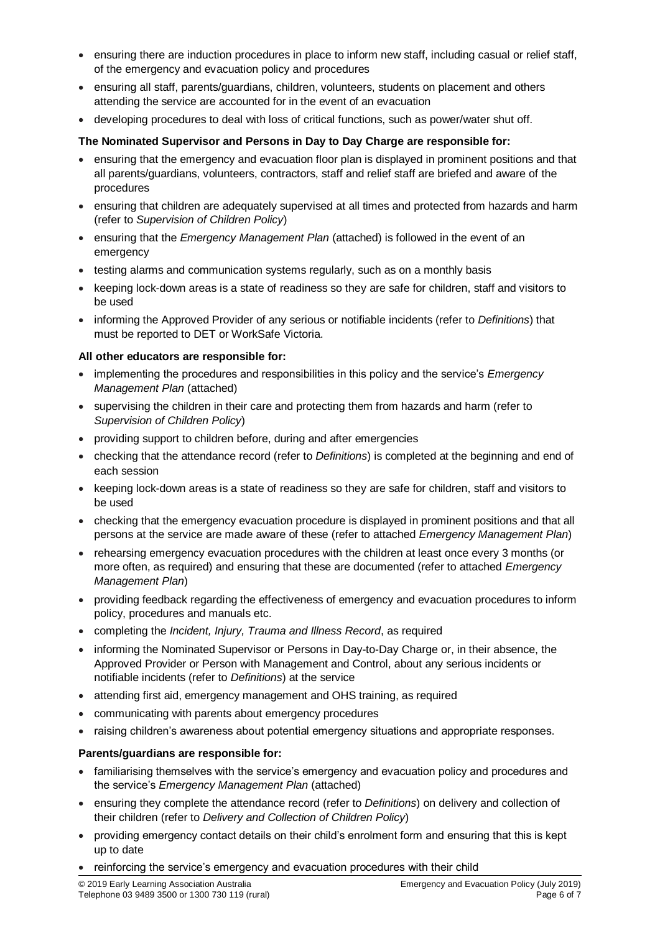- ensuring there are induction procedures in place to inform new staff, including casual or relief staff, of the emergency and evacuation policy and procedures
- ensuring all staff, parents/guardians, children, volunteers, students on placement and others attending the service are accounted for in the event of an evacuation
- developing procedures to deal with loss of critical functions, such as power/water shut off.

#### **The Nominated Supervisor and Persons in Day to Day Charge are responsible for:**

- ensuring that the emergency and evacuation floor plan is displayed in prominent positions and that all parents/guardians, volunteers, contractors, staff and relief staff are briefed and aware of the procedures
- ensuring that children are adequately supervised at all times and protected from hazards and harm (refer to *Supervision of Children Policy*)
- ensuring that the *Emergency Management Plan* (attached) is followed in the event of an emergency
- testing alarms and communication systems regularly, such as on a monthly basis
- keeping lock-down areas is a state of readiness so they are safe for children, staff and visitors to be used
- informing the Approved Provider of any serious or notifiable incidents (refer to *Definitions*) that must be reported to DET or WorkSafe Victoria.

#### **All other educators are responsible for:**

- implementing the procedures and responsibilities in this policy and the service's *Emergency Management Plan* (attached)
- supervising the children in their care and protecting them from hazards and harm (refer to *Supervision of Children Policy*)
- providing support to children before, during and after emergencies
- checking that the attendance record (refer to *Definitions*) is completed at the beginning and end of each session
- keeping lock-down areas is a state of readiness so they are safe for children, staff and visitors to be used
- checking that the emergency evacuation procedure is displayed in prominent positions and that all persons at the service are made aware of these (refer to attached *Emergency Management Plan*)
- rehearsing emergency evacuation procedures with the children at least once every 3 months (or more often, as required) and ensuring that these are documented (refer to attached *Emergency Management Plan*)
- providing feedback regarding the effectiveness of emergency and evacuation procedures to inform policy, procedures and manuals etc.
- completing the *Incident, Injury, Trauma and Illness Record*, as required
- informing the Nominated Supervisor or Persons in Day-to-Day Charge or, in their absence, the Approved Provider or Person with Management and Control, about any serious incidents or notifiable incidents (refer to *Definitions*) at the service
- attending first aid, emergency management and OHS training, as required
- communicating with parents about emergency procedures
- raising children's awareness about potential emergency situations and appropriate responses.

#### **Parents/guardians are responsible for:**

- familiarising themselves with the service's emergency and evacuation policy and procedures and the service's *Emergency Management Plan* (attached)
- ensuring they complete the attendance record (refer to *Definitions*) on delivery and collection of their children (refer to *Delivery and Collection of Children Policy*)
- providing emergency contact details on their child's enrolment form and ensuring that this is kept up to date
- reinforcing the service's emergency and evacuation procedures with their child